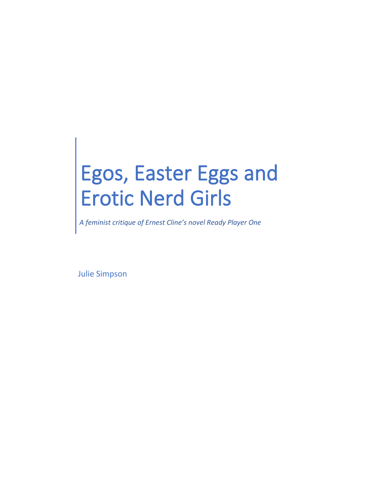## Egos, Easter Eggs and Erotic Nerd Girls

*A feminist critique of Ernest Cline's novel Ready Player One*

Julie Simpson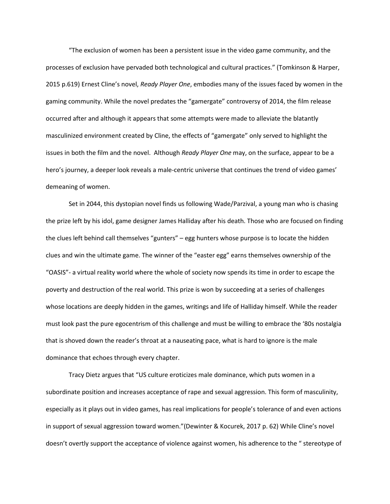"The exclusion of women has been a persistent issue in the video game community, and the processes of exclusion have pervaded both technological and cultural practices." (Tomkinson & Harper, 2015 p.619) Ernest Cline's novel, *Ready Player One*, embodies many of the issues faced by women in the gaming community. While the novel predates the "gamergate" controversy of 2014, the film release occurred after and although it appears that some attempts were made to alleviate the blatantly masculinized environment created by Cline, the effects of "gamergate" only served to highlight the issues in both the film and the novel. Although *Ready Player One* may, on the surface, appear to be a hero's journey, a deeper look reveals a male-centric universe that continues the trend of video games' demeaning of women.

Set in 2044, this dystopian novel finds us following Wade/Parzival, a young man who is chasing the prize left by his idol, game designer James Halliday after his death. Those who are focused on finding the clues left behind call themselves "gunters" – egg hunters whose purpose is to locate the hidden clues and win the ultimate game. The winner of the "easter egg" earns themselves ownership of the "OASIS"- a virtual reality world where the whole of society now spends its time in order to escape the poverty and destruction of the real world. This prize is won by succeeding at a series of challenges whose locations are deeply hidden in the games, writings and life of Halliday himself. While the reader must look past the pure egocentrism of this challenge and must be willing to embrace the '80s nostalgia that is shoved down the reader's throat at a nauseating pace, what is hard to ignore is the male dominance that echoes through every chapter.

Tracy Dietz argues that "US culture eroticizes male dominance, which puts women in a subordinate position and increases acceptance of rape and sexual aggression. This form of masculinity, especially as it plays out in video games, has real implications for people's tolerance of and even actions in support of sexual aggression toward women."(Dewinter & Kocurek, 2017 p. 62) While Cline's novel doesn't overtly support the acceptance of violence against women, his adherence to the " stereotype of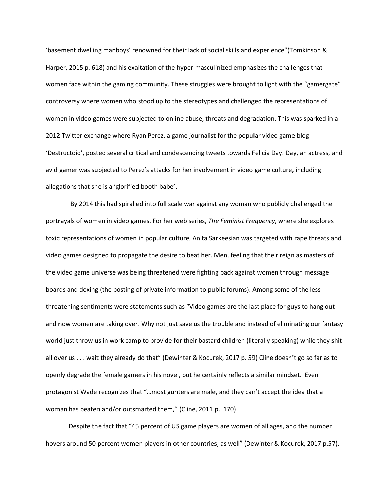'basement dwelling manboys' renowned for their lack of social skills and experience"(Tomkinson & Harper, 2015 p. 618) and his exaltation of the hyper-masculinized emphasizes the challenges that women face within the gaming community. These struggles were brought to light with the "gamergate" controversy where women who stood up to the stereotypes and challenged the representations of women in video games were subjected to online abuse, threats and degradation. This was sparked in a 2012 Twitter exchange where Ryan Perez, a game journalist for the popular video game blog 'Destructoid', posted several critical and condescending tweets towards Felicia Day. Day, an actress, and avid gamer was subjected to Perez's attacks for her involvement in video game culture, including allegations that she is a 'glorified booth babe'.

By 2014 this had spiralled into full scale war against any woman who publicly challenged the portrayals of women in video games. For her web series, *The Feminist Frequency*, where she explores toxic representations of women in popular culture, Anita Sarkeesian was targeted with rape threats and video games designed to propagate the desire to beat her. Men, feeling that their reign as masters of the video game universe was being threatened were fighting back against women through message boards and doxing (the posting of private information to public forums). Among some of the less threatening sentiments were statements such as "Video games are the last place for guys to hang out and now women are taking over. Why not just save us the trouble and instead of eliminating our fantasy world just throw us in work camp to provide for their bastard children (literally speaking) while they shit all over us . . . wait they already do that" (Dewinter & Kocurek, 2017 p. 59) Cline doesn't go so far as to openly degrade the female gamers in his novel, but he certainly reflects a similar mindset. Even protagonist Wade recognizes that "…most gunters are male, and they can't accept the idea that a woman has beaten and/or outsmarted them," (Cline, 2011 p. 170)

Despite the fact that "45 percent of US game players are women of all ages, and the number hovers around 50 percent women players in other countries, as well" (Dewinter & Kocurek, 2017 p.57),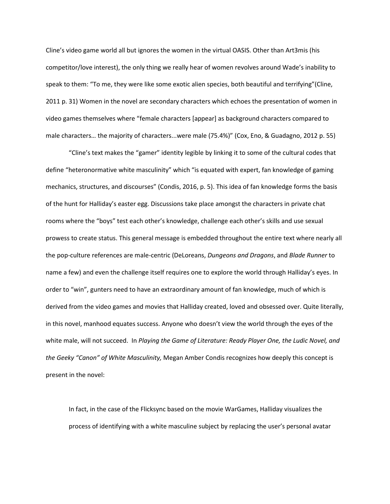Cline's video game world all but ignores the women in the virtual OASIS. Other than Art3mis (his competitor/love interest), the only thing we really hear of women revolves around Wade's inability to speak to them: "To me, they were like some exotic alien species, both beautiful and terrifying"(Cline, 2011 p. 31) Women in the novel are secondary characters which echoes the presentation of women in video games themselves where "female characters [appear] as background characters compared to male characters… the majority of characters...were male (75.4%)" (Cox, Eno, & Guadagno, 2012 p. 55)

"Cline's text makes the "gamer" identity legible by linking it to some of the cultural codes that define "heteronormative white masculinity" which "is equated with expert, fan knowledge of gaming mechanics, structures, and discourses" (Condis, 2016, p. 5). This idea of fan knowledge forms the basis of the hunt for Halliday's easter egg. Discussions take place amongst the characters in private chat rooms where the "boys" test each other's knowledge, challenge each other's skills and use sexual prowess to create status. This general message is embedded throughout the entire text where nearly all the pop-culture references are male-centric (DeLoreans, *Dungeons and Dragons*, and *Blade Runner* to name a few) and even the challenge itself requires one to explore the world through Halliday's eyes. In order to "win", gunters need to have an extraordinary amount of fan knowledge, much of which is derived from the video games and movies that Halliday created, loved and obsessed over. Quite literally, in this novel, manhood equates success. Anyone who doesn't view the world through the eyes of the white male, will not succeed. In *Playing the Game of Literature: Ready Player One, the Ludic Novel, and the Geeky "Canon" of White Masculinity,* Megan Amber Condis recognizes how deeply this concept is present in the novel:

In fact, in the case of the Flicksync based on the movie WarGames, Halliday visualizes the process of identifying with a white masculine subject by replacing the user's personal avatar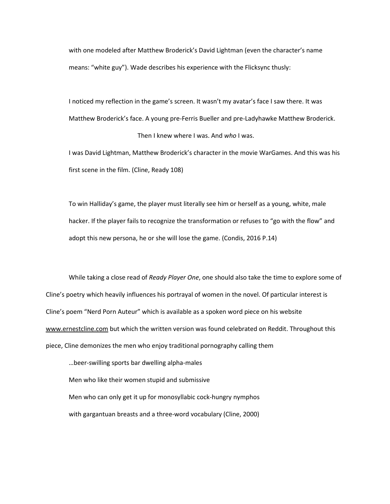with one modeled after Matthew Broderick's David Lightman (even the character's name means: "white guy"). Wade describes his experience with the Flicksync thusly:

I noticed my reflection in the game's screen. It wasn't my avatar's face I saw there. It was Matthew Broderick's face. A young pre-Ferris Bueller and pre-Ladyhawke Matthew Broderick. Then I knew where I was. And *who* I was.

I was David Lightman, Matthew Broderick's character in the movie WarGames. And this was his first scene in the film. (Cline, Ready 108)

To win Halliday's game, the player must literally see him or herself as a young, white, male hacker. If the player fails to recognize the transformation or refuses to "go with the flow" and adopt this new persona, he or she will lose the game. (Condis, 2016 P.14)

While taking a close read of *Ready Player One*, one should also take the time to explore some of Cline's poetry which heavily influences his portrayal of women in the novel. Of particular interest is Cline's poem "Nerd Porn Auteur" which is available as a spoken word piece on his website [www.ernestcline.com](http://www.ernestcline.com/) but which the written version was found celebrated on Reddit. Throughout this piece, Cline demonizes the men who enjoy traditional pornography calling them

…beer-swilling sports bar dwelling alpha-males Men who like their women stupid and submissive Men who can only get it up for monosyllabic cock-hungry nymphos with gargantuan breasts and a three-word vocabulary (Cline, 2000)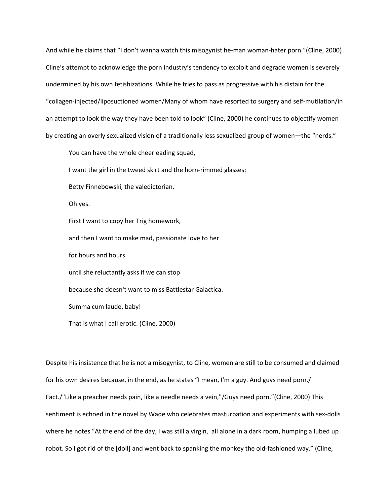And while he claims that "I don't wanna watch this misogynist he-man woman-hater porn."(Cline, 2000) Cline's attempt to acknowledge the porn industry's tendency to exploit and degrade women is severely undermined by his own fetishizations. While he tries to pass as progressive with his distain for the "collagen-injected/liposuctioned women/Many of whom have resorted to surgery and self-mutilation/in an attempt to look the way they have been told to look" (Cline, 2000) he continues to objectify women by creating an overly sexualized vision of a traditionally less sexualized group of women—the "nerds."

You can have the whole cheerleading squad,

I want the girl in the tweed skirt and the horn-rimmed glasses:

Betty Finnebowski, the valedictorian.

Oh yes.

First I want to copy her Trig homework,

and then I want to make mad, passionate love to her

for hours and hours

until she reluctantly asks if we can stop

because she doesn't want to miss Battlestar Galactica.

Summa cum laude, baby!

That is what I call erotic. (Cline, 2000)

Despite his insistence that he is not a misogynist, to Cline, women are still to be consumed and claimed for his own desires because, in the end, as he states "I mean, I'm a guy. And guys need porn./ Fact./"Like a preacher needs pain, like a needle needs a vein,"/Guys need porn."(Cline, 2000) This sentiment is echoed in the novel by Wade who celebrates masturbation and experiments with sex-dolls where he notes "At the end of the day, I was still a virgin, all alone in a dark room, humping a lubed up robot. So I got rid of the [doll] and went back to spanking the monkey the old-fashioned way." (Cline,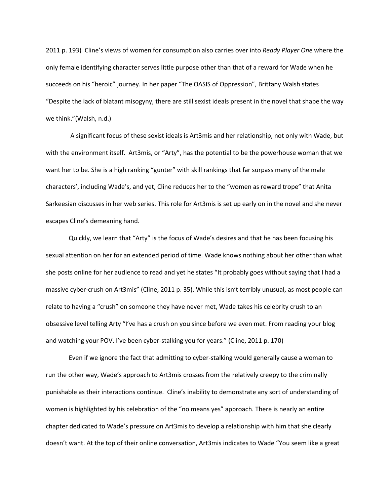2011 p. 193) Cline's views of women for consumption also carries over into *Ready Player One* where the only female identifying character serves little purpose other than that of a reward for Wade when he succeeds on his "heroic" journey. In her paper "The OASIS of Oppression", Brittany Walsh states "Despite the lack of blatant misogyny, there are still sexist ideals present in the novel that shape the way we think."(Walsh, n.d.)

A significant focus of these sexist ideals is Art3mis and her relationship, not only with Wade, but with the environment itself. Art3mis, or "Arty", has the potential to be the powerhouse woman that we want her to be. She is a high ranking "gunter" with skill rankings that far surpass many of the male characters', including Wade's, and yet, Cline reduces her to the "women as reward trope" tha[t Anita](https://femfreq2.wordpress.com/blog/author/femfreq)  [Sarkeesian](https://femfreq2.wordpress.com/blog/author/femfreq) discusses in her web series. This role for Art3mis is set up early on in the novel and she never escapes Cline's demeaning hand.

Quickly, we learn that "Arty" is the focus of Wade's desires and that he has been focusing his sexual attention on her for an extended period of time. Wade knows nothing about her other than what she posts online for her audience to read and yet he states "It probably goes without saying that I had a massive cyber-crush on Art3mis" (Cline, 2011 p. 35). While this isn't terribly unusual, as most people can relate to having a "crush" on someone they have never met, Wade takes his celebrity crush to an obsessive level telling Arty "I've has a crush on you since before we even met. From reading your blog and watching your POV. I've been cyber-stalking you for years." (Cline, 2011 p. 170)

Even if we ignore the fact that admitting to cyber-stalking would generally cause a woman to run the other way, Wade's approach to Art3mis crosses from the relatively creepy to the criminally punishable as their interactions continue. Cline's inability to demonstrate any sort of understanding of women is highlighted by his celebration of the "no means yes" approach. There is nearly an entire chapter dedicated to Wade's pressure on Art3mis to develop a relationship with him that she clearly doesn't want. At the top of their online conversation, Art3mis indicates to Wade "You seem like a great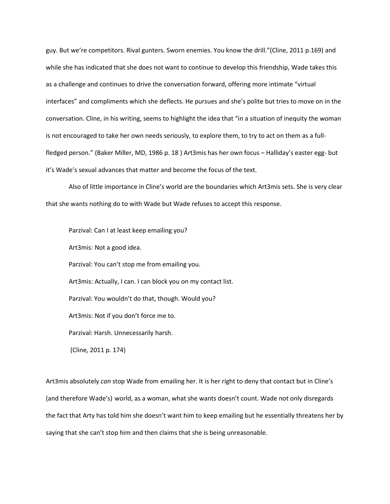guy. But we're competitors. Rival gunters. Sworn enemies. You know the drill."(Cline, 2011 p.169) and while she has indicated that she does not want to continue to develop this friendship, Wade takes this as a challenge and continues to drive the conversation forward, offering more intimate "virtual interfaces" and compliments which she deflects. He pursues and she's polite but tries to move on in the conversation. Cline, in his writing, seems to highlight the idea that "in a situation of inequity the woman is not encouraged to take her own needs seriously, to explore them, to try to act on them as a fullfledged person." (Baker Miller, MD, 1986 p. 18 ) Art3mis has her own focus – Halliday's easter egg- but it's Wade's sexual advances that matter and become the focus of the text.

Also of little importance in Cline's world are the boundaries which Art3mis sets. She is very clear that she wants nothing do to with Wade but Wade refuses to accept this response.

Parzival: Can I at least keep emailing you? Art3mis: Not a good idea.

Parzival: You can't stop me from emailing you.

Art3mis: Actually, I can. I can block you on my contact list.

Parzival: You wouldn't do that, though. Would you?

Art3mis: Not if you don't force me to.

Parzival: Harsh. Unnecessarily harsh.

(Cline, 2011 p. 174)

Art3mis absolutely *can* stop Wade from emailing her. It is her right to deny that contact but in Cline's (and therefore Wade's) world, as a woman, what she wants doesn't count. Wade not only disregards the fact that Arty has told him she doesn't want him to keep emailing but he essentially threatens her by saying that she can't stop him and then claims that she is being unreasonable.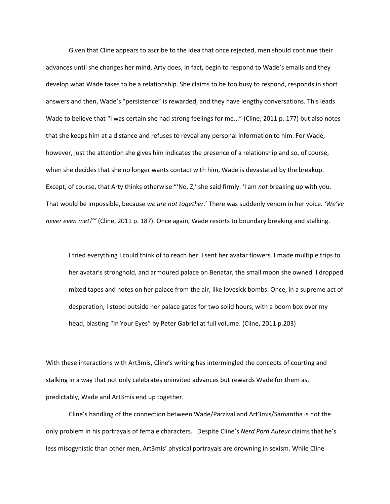Given that Cline appears to ascribe to the idea that once rejected, men should continue their advances until she changes her mind, Arty does, in fact, begin to respond to Wade's emails and they develop what Wade takes to be a relationship. She claims to be too busy to respond, responds in short answers and then, Wade's "persistence" is rewarded, and they have lengthy conversations. This leads Wade to believe that "I was certain she had strong feelings for me..." (Cline, 2011 p. 177) but also notes that she keeps him at a distance and refuses to reveal any personal information to him. For Wade, however, just the attention she gives him indicates the presence of a relationship and so, of course, when she decides that she no longer wants contact with him, Wade is devastated by the breakup. Except, of course, that Arty thinks otherwise "'No, Z,' she said firmly. 'I am *not* breaking up with you. That would be impossible, because *we are not together.*' There was suddenly venom in her voice. *'We've never even met!'"* (Cline, 2011 p. 187). Once again, Wade resorts to boundary breaking and stalking.

I tried everything I could think of to reach her. I sent her avatar flowers. I made multiple trips to her avatar's stronghold, and armoured palace on Benatar, the small moon she owned. I dropped mixed tapes and notes on her palace from the air, like lovesick bombs. Once, in a supreme act of desperation, I stood outside her palace gates for two solid hours, with a boom box over my head, blasting "In Your Eyes" by Peter Gabriel at full volume. (Cline, 2011 p.203)

With these interactions with Art3mis, Cline's writing has intermingled the concepts of courting and stalking in a way that not only celebrates uninvited advances but rewards Wade for them as, predictably, Wade and Art3mis end up together.

Cline's handling of the connection between Wade/Parzival and Art3mis/Samantha is not the only problem in his portrayals of female characters. Despite Cline's *Nerd Porn Auteur* claims that he's less misogynistic than other men, Art3mis' physical portrayals are drowning in sexism. While Cline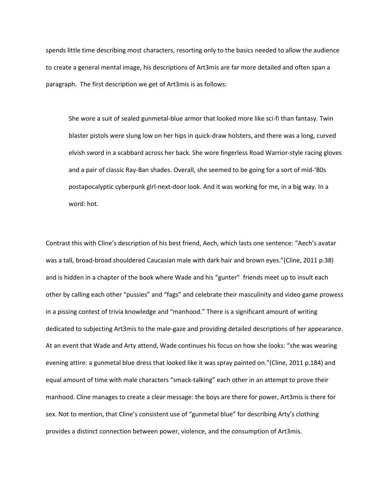spends little time describing most characters, resorting only to the basics needed to allow the audience to create a general mental image, his descriptions of Art3mis are far more detailed and often span a paragraph. The first description we get of Art3mis is as follows:

She wore a suit of sealed gunmetal-blue armor that looked more like sci-fi than fantasy. Twin blaster pistols were slung low on her hips in quick-draw holsters, and there was a long, curved elvish sword in a scabbard across her back. She wore fingerless Road Warrior-style racing gloves and a pair of classic Ray-Ban shades. Overall, she seemed to be going for a sort of mid-'80s postapocalyptic cyberpunk girl-next-door look. And it was working for me, in a big way. In a word: hot.

Contrast this with Cline's description of his best friend, Aech, which lasts one sentence: "Aech's avatar was a tall, broad-broad shouldered Caucasian male with dark hair and brown eyes."(Cline, 2011 p.38) and is hidden in a chapter of the book where Wade and his "gunter" friends meet up to insult each other by calling each other "pussies" and "fags" and celebrate their masculinity and video game prowess in a pissing contest of trivia knowledge and "manhood." There is a significant amount of writing dedicated to subjecting Art3mis to the male-gaze and providing detailed descriptions of her appearance. At an event that Wade and Arty attend, Wade continues his focus on how she looks: "she was wearing evening attire: a gunmetal blue dress that looked like it was spray painted on."(Cline, 2011 p.184) and equal amount of time with male characters "smack-talking" each other in an attempt to prove their manhood. Cline manages to create a clear message: the boys are there for power, Art3mis is there for sex. Not to mention, that Cline's consistent use of "gunmetal blue" for describing Arty's clothing provides a distinct connection between power, violence, and the consumption of Art3mis.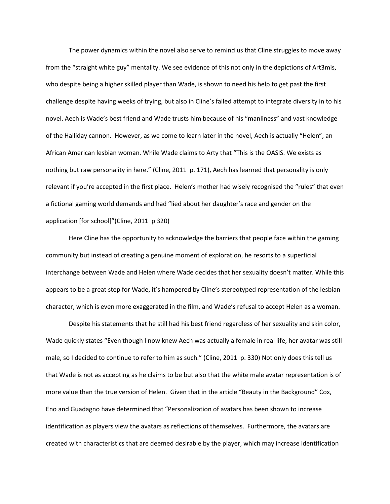The power dynamics within the novel also serve to remind us that Cline struggles to move away from the "straight white guy" mentality. We see evidence of this not only in the depictions of Art3mis, who despite being a higher skilled player than Wade, is shown to need his help to get past the first challenge despite having weeks of trying, but also in Cline's failed attempt to integrate diversity in to his novel. Aech is Wade's best friend and Wade trusts him because of his "manliness" and vast knowledge of the Halliday cannon. However, as we come to learn later in the novel, Aech is actually "Helen", an African American lesbian woman. While Wade claims to Arty that "This is the OASIS. We exists as nothing but raw personality in here." (Cline, 2011 p. 171), Aech has learned that personality is only relevant if you're accepted in the first place. Helen's mother had wisely recognised the "rules" that even a fictional gaming world demands and had "lied about her daughter's race and gender on the application [for school]"(Cline, 2011 p 320)

Here Cline has the opportunity to acknowledge the barriers that people face within the gaming community but instead of creating a genuine moment of exploration, he resorts to a superficial interchange between Wade and Helen where Wade decides that her sexuality doesn't matter. While this appears to be a great step for Wade, it's hampered by Cline's stereotyped representation of the lesbian character, which is even more exaggerated in the film, and Wade's refusal to accept Helen as a woman.

Despite his statements that he still had his best friend regardless of her sexuality and skin color, Wade quickly states "Even though I now knew Aech was actually a female in real life, her avatar was still male, so I decided to continue to refer to him as such." (Cline, 2011 p. 330) Not only does this tell us that Wade is not as accepting as he claims to be but also that the white male avatar representation is of more value than the true version of Helen. Given that in the article "Beauty in the Background" Cox, Eno and Guadagno have determined that "Personalization of avatars has been shown to increase identification as players view the avatars as reflections of themselves. Furthermore, the avatars are created with characteristics that are deemed desirable by the player, which may increase identification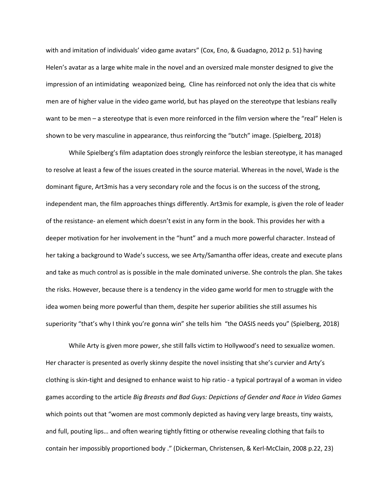with and imitation of individuals' video game avatars" (Cox, Eno, & Guadagno, 2012 p. 51) having Helen's avatar as a large white male in the novel and an oversized male monster designed to give the impression of an intimidating weaponized being, Cline has reinforced not only the idea that cis white men are of higher value in the video game world, but has played on the stereotype that lesbians really want to be men – a stereotype that is even more reinforced in the film version where the "real" Helen is shown to be very masculine in appearance, thus reinforcing the "butch" image. (Spielberg, 2018)

While Spielberg's film adaptation does strongly reinforce the lesbian stereotype, it has managed to resolve at least a few of the issues created in the source material. Whereas in the novel, Wade is the dominant figure, Art3mis has a very secondary role and the focus is on the success of the strong, independent man, the film approaches things differently. Art3mis for example, is given the role of leader of the resistance- an element which doesn't exist in any form in the book. This provides her with a deeper motivation for her involvement in the "hunt" and a much more powerful character. Instead of her taking a background to Wade's success, we see Arty/Samantha offer ideas, create and execute plans and take as much control as is possible in the male dominated universe. She controls the plan. She takes the risks. However, because there is a tendency in the video game world for men to struggle with the idea women being more powerful than them, despite her superior abilities she still assumes his superiority "that's why I think you're gonna win" she tells him "the OASIS needs you" (Spielberg, 2018)

While Arty is given more power, she still falls victim to Hollywood's need to sexualize women. Her character is presented as overly skinny despite the novel insisting that she's curvier and Arty's clothing is skin-tight and designed to enhance waist to hip ratio - a typical portrayal of a woman in video games according to the article *Big Breasts and Bad Guys: Depictions of Gender and Race in Video Games* which points out that "women are most commonly depicted as having very large breasts, tiny waists, and full, pouting lips… and often wearing tightly fitting or otherwise revealing clothing that fails to contain her impossibly proportioned body ." (Dickerman, Christensen, & Kerl-McClain, 2008 p.22, 23)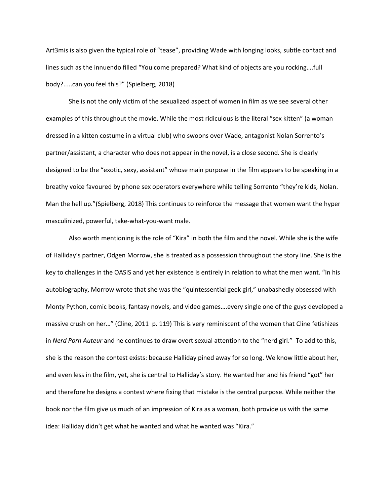Art3mis is also given the typical role of "tease", providing Wade with longing looks, subtle contact and lines such as the innuendo filled "You come prepared? What kind of objects are you rocking….full body?.....can you feel this?" (Spielberg, 2018)

She is not the only victim of the sexualized aspect of women in film as we see several other examples of this throughout the movie. While the most ridiculous is the literal "sex kitten" (a woman dressed in a kitten costume in a virtual club) who swoons over Wade, antagonist Nolan Sorrento's partner/assistant, a character who does not appear in the novel, is a close second. She is clearly designed to be the "exotic, sexy, assistant" whose main purpose in the film appears to be speaking in a breathy voice favoured by phone sex operators everywhere while telling Sorrento "they're kids, Nolan. Man the hell up."(Spielberg, 2018) This continues to reinforce the message that women want the hyper masculinized, powerful, take-what-you-want male.

Also worth mentioning is the role of "Kira" in both the film and the novel. While she is the wife of Halliday's partner, Odgen Morrow, she is treated as a possession throughout the story line. She is the key to challenges in the OASIS and yet her existence is entirely in relation to what the men want. "In his autobiography, Morrow wrote that she was the "quintessential geek girl," unabashedly obsessed with Monty Python, comic books, fantasy novels, and video games….every single one of the guys developed a massive crush on her…" (Cline, 2011 p. 119) This is very reminiscent of the women that Cline fetishizes in *Nerd Porn Auteur* and he continues to draw overt sexual attention to the "nerd girl." To add to this, she is the reason the contest exists: because Halliday pined away for so long. We know little about her, and even less in the film, yet, she is central to Halliday's story. He wanted her and his friend "got" her and therefore he designs a contest where fixing that mistake is the central purpose. While neither the book nor the film give us much of an impression of Kira as a woman, both provide us with the same idea: Halliday didn't get what he wanted and what he wanted was "Kira."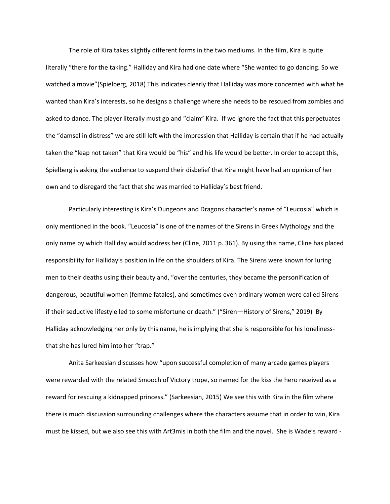The role of Kira takes slightly different forms in the two mediums. In the film, Kira is quite literally "there for the taking." Halliday and Kira had one date where "She wanted to go dancing. So we watched a movie"(Spielberg, 2018) This indicates clearly that Halliday was more concerned with what he wanted than Kira's interests, so he designs a challenge where she needs to be rescued from zombies and asked to dance. The player literally must go and "claim" Kira. If we ignore the fact that this perpetuates the "damsel in distress" we are still left with the impression that Halliday is certain that if he had actually taken the "leap not taken" that Kira would be "his" and his life would be better. In order to accept this, Spielberg is asking the audience to suspend their disbelief that Kira might have had an opinion of her own and to disregard the fact that she was married to Halliday's best friend.

Particularly interesting is Kira's Dungeons and Dragons character's name of "Leucosia" which is only mentioned in the book. "Leucosia" is one of the names of the Sirens in Greek Mythology and the only name by which Halliday would address her (Cline, 2011 p. 361). By using this name, Cline has placed responsibility for Halliday's position in life on the shoulders of Kira. The Sirens were known for luring men to their deaths using their beauty and, "over the centuries, they became the personification of dangerous, beautiful women (femme fatales), and sometimes even ordinary women were called Sirens if their seductive lifestyle led to some misfortune or death." ("Siren—History of Sirens," 2019) By Halliday acknowledging her only by this name, he is implying that she is responsible for his lonelinessthat she has lured him into her "trap."

Anita Sarkeesian discusses how "upon successful completion of many arcade games players were rewarded with the related Smooch of Victory trope, so named for the kiss the hero received as a reward for rescuing a kidnapped princess." (Sarkeesian, 2015) We see this with Kira in the film where there is much discussion surrounding challenges where the characters assume that in order to win, Kira must be kissed, but we also see this with Art3mis in both the film and the novel. She is Wade's reward -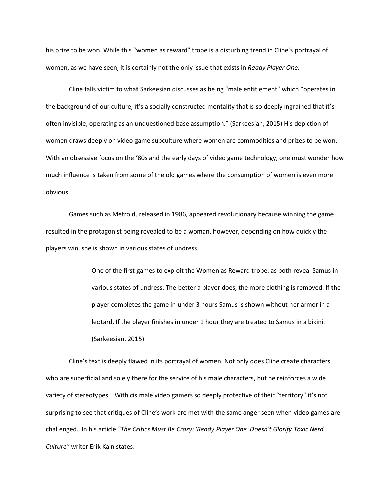his prize to be won. While this "women as reward" trope is a disturbing trend in Cline's portrayal of women, as we have seen, it is certainly not the only issue that exists in *Ready Player One.*

Cline falls victim to what Sarkeesian discusses as being "male entitlement" which "operates in the background of our culture; it's a socially constructed mentality that is so deeply ingrained that it's often invisible, operating as an unquestioned base assumption." (Sarkeesian, 2015) His depiction of women draws deeply on video game subculture where women are commodities and prizes to be won. With an obsessive focus on the '80s and the early days of video game technology, one must wonder how much influence is taken from some of the old games where the consumption of women is even more obvious.

Games such as Metroid, released in 1986, appeared revolutionary because winning the game resulted in the protagonist being revealed to be a woman, however, depending on how quickly the players win, she is shown in various states of undress.

> One of the first games to exploit the Women as Reward trope, as both reveal Samus in various states of undress. The better a player does, the more clothing is removed. If the player completes the game in under 3 hours Samus is shown without her armor in a leotard. If the player finishes in under 1 hour they are treated to Samus in a bikini. (Sarkeesian, 2015)

Cline's text is deeply flawed in its portrayal of women. Not only does Cline create characters who are superficial and solely there for the service of his male characters, but he reinforces a wide variety of stereotypes. With cis male video gamers so deeply protective of their "territory" it's not surprising to see that critiques of Cline's work are met with the same anger seen when video games are challenged. In his article *"The Critics Must Be Crazy: 'Ready Player One' Doesn't Glorify Toxic Nerd Culture"* writer Erik Kain states: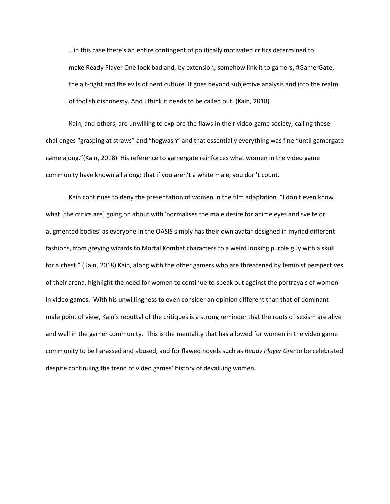…in this case there's an entire contingent of politically motivated critics determined to make Ready Player One look bad and, by extension, somehow link it to gamers, #GamerGate, the alt-right and the evils of nerd culture. It goes beyond subjective analysis and into the realm of foolish dishonesty. And I think it needs to be called out. (Kain, 2018)

Kain, and others, are unwilling to explore the flaws in their video game society, calling these challenges "grasping at straws" and "hogwash" and that essentially everything was fine "until gamergate came along."(Kain, 2018) His reference to gamergate reinforces what women in the video game community have known all along: that if you aren't a white male, you don't count.

Kain continues to deny the presentation of women in the film adaptation "I don't even know what [the critics are] going on about with 'normalises the male desire for anime eyes and svelte or augmented bodies' as everyone in the OASIS simply has their own avatar designed in myriad different fashions, from greying wizards to Mortal Kombat characters to a weird looking purple guy with a skull for a chest." (Kain, 2018) Kain, along with the other gamers who are threatened by feminist perspectives of their arena, highlight the need for women to continue to speak out against the portrayals of women in video games. With his unwillingness to even consider an opinion different than that of dominant male point of view, Kain's rebuttal of the critiques is a strong reminder that the roots of sexism are alive and well in the gamer community. This is the mentality that has allowed for women in the video game community to be harassed and abused, and for flawed novels such as *Ready Player One* to be celebrated despite continuing the trend of video games' history of devaluing women.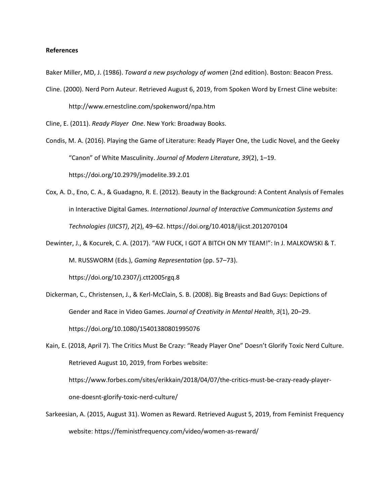## **References**

Baker Miller, MD, J. (1986). *Toward a new psychology of women* (2nd edition). Boston: Beacon Press.

Cline. (2000). Nerd Porn Auteur. Retrieved August 6, 2019, from Spoken Word by Ernest Cline website: http://www.ernestcline.com/spokenword/npa.htm

Cline, E. (2011). *Ready Player One*. New York: Broadway Books.

- Condis, M. A. (2016). Playing the Game of Literature: Ready Player One, the Ludic Novel, and the Geeky "Canon" of White Masculinity. *Journal of Modern Literature*, *39*(2), 1–19. https://doi.org/10.2979/jmodelite.39.2.01
- Cox, A. D., Eno, C. A., & Guadagno, R. E. (2012). Beauty in the Background: A Content Analysis of Females in Interactive Digital Games. *International Journal of Interactive Communication Systems and Technologies (IJICST)*, *2*(2), 49–62. https://doi.org/10.4018/ijicst.2012070104
- Dewinter, J., & Kocurek, C. A. (2017). "AW FUCK, I GOT A BITCH ON MY TEAM!": In J. MALKOWSKI & T. M. RUSSWORM (Eds.), *Gaming Representation* (pp. 57–73).

https://doi.org/10.2307/j.ctt2005rgq.8

Dickerman, C., Christensen, J., & Kerl-McClain, S. B. (2008). Big Breasts and Bad Guys: Depictions of Gender and Race in Video Games. *Journal of Creativity in Mental Health*, *3*(1), 20–29. https://doi.org/10.1080/15401380801995076

Kain, E. (2018, April 7). The Critics Must Be Crazy: "Ready Player One" Doesn't Glorify Toxic Nerd Culture. Retrieved August 10, 2019, from Forbes website: https://www.forbes.com/sites/erikkain/2018/04/07/the-critics-must-be-crazy-ready-playerone-doesnt-glorify-toxic-nerd-culture/

Sarkeesian, A. (2015, August 31). Women as Reward. Retrieved August 5, 2019, from Feminist Frequency website: https://feministfrequency.com/video/women-as-reward/